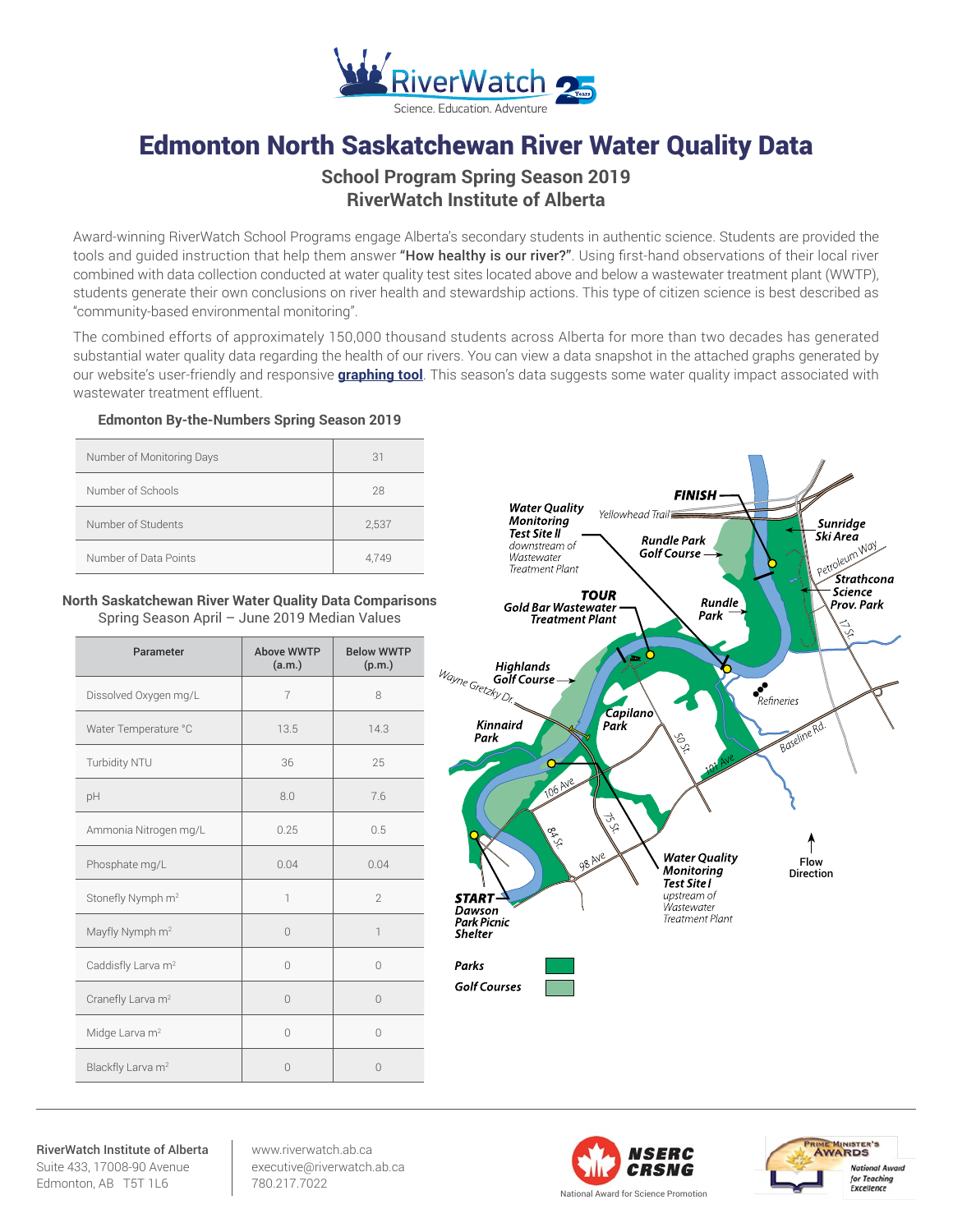

# Edmonton North Saskatchewan River Water Quality Data

## **School Program Spring Season 2019 RiverWatch Institute of Alberta**

Award-winning RiverWatch School Programs engage Alberta's secondary students in authentic science. Students are provided the tools and quided instruction that help them answer "How healthy is our river?". Using first-hand observations of their local river combined with data collection conducted at water quality test sites located above and below a wastewater treatment plant (WWTP), students generate their own conclusions on river health and stewardship actions. This type of citizen science is best described as "community-based environmental monitoring".

The combined efforts of approximately 150,000 thousand students across Alberta for more than two decades has generated substantial water quality data regarding the health of our rivers. You can view a data snapshot in the attached graphs generated by our website's user-friendly and responsive **[graphing tool](http://www.riverwatch.ab.ca/index.php/science/data)**. This season's data suggests some water quality impact associated with wastewater treatment effluent.

### **Edmonton By-the-Numbers Spring Season 2019**

| Number of Monitoring Days | 31    |
|---------------------------|-------|
| Number of Schools         | 28    |
| Number of Students        | 2,537 |
| Number of Data Points     | 4.749 |

#### **North Saskatchewan River Water Quality Data Comparisons** Spring Season April – June 2019 Median Values

| Parameter                      | Above WWTP<br>(a.m.) | <b>Below WWTP</b><br>(p.m.) |
|--------------------------------|----------------------|-----------------------------|
| Dissolved Oxygen mg/L          | $\overline{7}$       | 8                           |
| Water Temperature °C           | 13.5                 | 14.3                        |
| Turbidity NTU                  | 36                   | 25                          |
| pH                             | 8.0                  | 7.6                         |
| Ammonia Nitrogen mg/L          | 0.25                 | 0.5                         |
| Phosphate mg/L                 | 0.04                 | 0.04                        |
| Stonefly Nymph m <sup>2</sup>  | 1                    | $\mathfrak{D}$              |
| Mayfly Nymph m <sup>2</sup>    | $\Omega$             | 1                           |
| Caddisfly Larva m <sup>2</sup> | $\Omega$             | $\cap$                      |
| Cranefly Larva m <sup>2</sup>  | $\Omega$             | $\Omega$                    |
| Midge Larva m <sup>2</sup>     | $\bigcap$            | $\Omega$                    |
| Blackfly Larva m <sup>2</sup>  | $\Omega$             | $\cap$                      |



RiverWatch Institute of Alberta Suite 433, 17008-90 Avenue Edmonton, AB T5T 1L6

www.riverwatch.ab.ca executive@riverwatch.ab.ca 780.217.7022



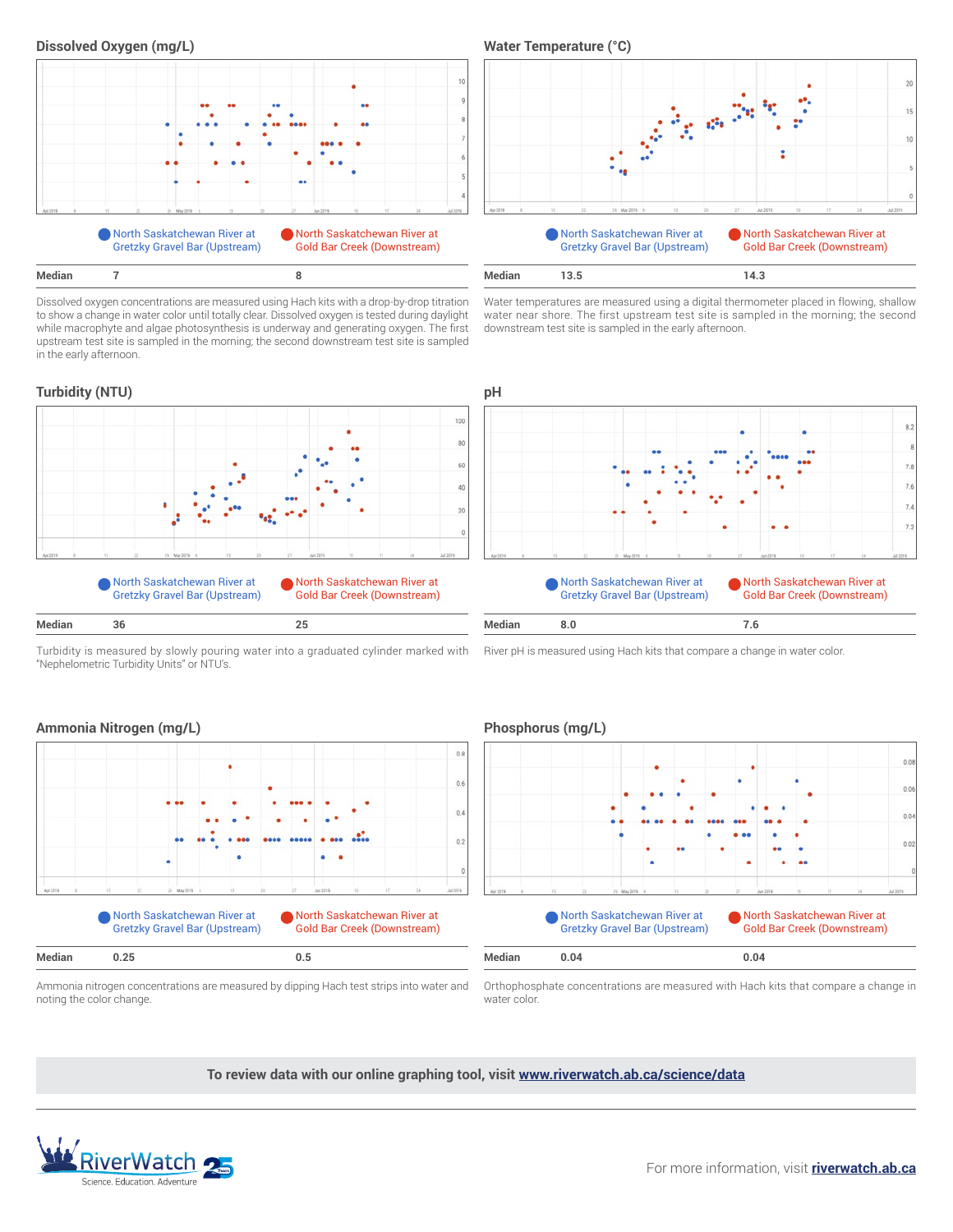



Dissolved oxygen concentrations are measured using Hach kits with a drop-by-drop titration to show a change in water color until totally clear. Dissolved oxygen is tested during daylight while macrophyte and algae photosynthesis is underway and generating oxygen. The first upstream test site is sampled in the morning; the second downstream test site is sampled in the early afternoon.

#### **Turbidity (NTU) pH**



Turbidity is measured by slowly pouring water into a graduated cylinder marked with "Nephelometric Turbidity Units" or NTU's.



Water temperatures are measured using a digital thermometer placed in flowing, shallow water near shore. The first upstream test site is sampled in the morning; the second downstream test site is sampled in the early afternoon.



River pH is measured using Hach kits that compare a change in water color.

**North Saskatchewan River at** Gretzky Gravel Bar (Upstream)





water color. Ammonia nitrogen concentrations are measured by dipping Hach test strips into water and

North Saskatchewan River at Gold Bar Creek (Downstream)

Orthophosphate concentrations are measured with Hach kits that compare a change in

**To review data with our online graphing tool, visit <www.riverwatch.ab.ca/science/data>**

 $0.8$ 

 $0.6$ 

 $0.4$ 

 $0.2$ 



noting the color change.